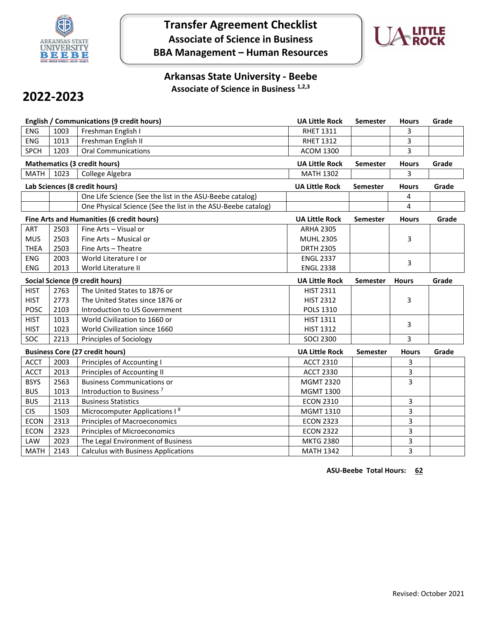

# **Transfer Agreement Checklist Associate of Science in Business BBA Management – Human Resources**



### **Arkansas State University - Beebe Associate of Science in Business 1,2,3**

# **2022-2023**

| <b>English / Communications (9 credit hours)</b> |                                     |                                                              | <b>UA Little Rock</b> | Semester        | <b>Hours</b> | Grade |
|--------------------------------------------------|-------------------------------------|--------------------------------------------------------------|-----------------------|-----------------|--------------|-------|
| <b>ENG</b>                                       | 1003                                | Freshman English I                                           | <b>RHET 1311</b>      |                 | 3            |       |
| ENG                                              | 1013                                | Freshman English II                                          | <b>RHET 1312</b>      |                 | 3            |       |
| <b>SPCH</b>                                      | 1203                                | <b>Oral Communications</b>                                   | <b>ACOM 1300</b>      |                 | 3            |       |
|                                                  | <b>Mathematics (3 credit hours)</b> |                                                              |                       | <b>Semester</b> | <b>Hours</b> | Grade |
| <b>MATH</b>                                      | 1023<br>College Algebra             |                                                              |                       |                 | 3            |       |
| Lab Sciences (8 credit hours)                    |                                     |                                                              | <b>UA Little Rock</b> | Semester        | <b>Hours</b> | Grade |
|                                                  |                                     | One Life Science (See the list in the ASU-Beebe catalog)     |                       |                 | 4            |       |
|                                                  |                                     | One Physical Science (See the list in the ASU-Beebe catalog) |                       |                 | 4            |       |
|                                                  |                                     | Fine Arts and Humanities (6 credit hours)                    | <b>UA Little Rock</b> | Semester        | <b>Hours</b> | Grade |
| ART                                              | 2503                                | Fine Arts - Visual or                                        | <b>ARHA 2305</b>      |                 |              |       |
| <b>MUS</b>                                       | 2503                                | Fine Arts - Musical or                                       | <b>MUHL 2305</b>      |                 | 3            |       |
| <b>THEA</b>                                      | 2503                                | Fine Arts - Theatre                                          | <b>DRTH 2305</b>      |                 |              |       |
| <b>ENG</b>                                       | 2003                                | World Literature I or                                        | <b>ENGL 2337</b>      |                 | 3            |       |
| <b>ENG</b>                                       | 2013                                | World Literature II                                          | <b>ENGL 2338</b>      |                 |              |       |
| Social Science (9 credit hours)                  |                                     |                                                              | <b>UA Little Rock</b> | <b>Semester</b> | <b>Hours</b> | Grade |
| <b>HIST</b>                                      | 2763                                | The United States to 1876 or                                 | <b>HIST 2311</b>      |                 |              |       |
| <b>HIST</b>                                      | 2773                                | The United States since 1876 or                              | <b>HIST 2312</b>      |                 | 3            |       |
| <b>POSC</b>                                      | 2103                                | Introduction to US Government                                | <b>POLS 1310</b>      |                 |              |       |
| <b>HIST</b>                                      | 1013                                | World Civilization to 1660 or                                | <b>HIST 1311</b>      |                 | 3            |       |
| <b>HIST</b>                                      | 1023                                | World Civilization since 1660                                | <b>HIST 1312</b>      |                 |              |       |
| SOC                                              | 2213                                | Principles of Sociology                                      | <b>SOCI 2300</b>      |                 | 3            |       |
| <b>Business Core (27 credit hours)</b>           |                                     |                                                              | <b>UA Little Rock</b> | <b>Semester</b> | <b>Hours</b> | Grade |
| <b>ACCT</b>                                      | 2003                                | Principles of Accounting I                                   | <b>ACCT 2310</b>      |                 | 3            |       |
| <b>ACCT</b>                                      | 2013                                | Principles of Accounting II                                  | <b>ACCT 2330</b>      |                 | 3            |       |
| <b>BSYS</b>                                      | 2563                                | <b>Business Communications or</b>                            | <b>MGMT 2320</b>      |                 | 3            |       |
| <b>BUS</b>                                       | 1013                                | Introduction to Business <sup>7</sup>                        | <b>MGMT 1300</b>      |                 |              |       |
| <b>BUS</b>                                       | 2113                                | <b>Business Statistics</b>                                   | <b>ECON 2310</b>      |                 | 3            |       |
| <b>CIS</b>                                       | 1503                                | Microcomputer Applications I <sup>8</sup>                    | MGMT 1310             |                 | 3            |       |
| <b>ECON</b>                                      | 2313                                | <b>Principles of Macroeconomics</b>                          | <b>ECON 2323</b>      |                 | 3            |       |
| <b>ECON</b>                                      | 2323                                | Principles of Microeconomics                                 | <b>ECON 2322</b>      |                 | 3            |       |
| LAW                                              | 2023                                | The Legal Environment of Business                            | <b>MKTG 2380</b>      |                 | 3            |       |
| <b>MATH</b>                                      | 2143                                | <b>Calculus with Business Applications</b>                   | <b>MATH 1342</b>      |                 | 3            |       |

**ASU-Beebe Total Hours: 62**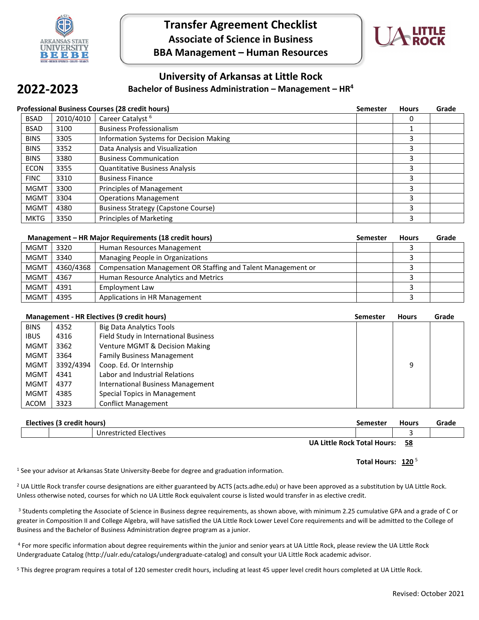

## **Transfer Agreement Checklist Associate of Science in Business BBA Management – Human Resources**



### **University of Arkansas at Little Rock**

#### **Bachelor of Business Administration – Management – HR4**

## **2022-2023**

| Professional Business Courses (28 credit hours) |           |                                            | <b>Semester</b> | <b>Hours</b> | Grade |
|-------------------------------------------------|-----------|--------------------------------------------|-----------------|--------------|-------|
| <b>BSAD</b>                                     | 2010/4010 | Career Catalyst <sup>6</sup>               |                 | 0            |       |
| <b>BSAD</b>                                     | 3100      | <b>Business Professionalism</b>            |                 |              |       |
| <b>BINS</b>                                     | 3305      | Information Systems for Decision Making    |                 | 3            |       |
| <b>BINS</b>                                     | 3352      | Data Analysis and Visualization            |                 | 3            |       |
| <b>BINS</b>                                     | 3380      | <b>Business Communication</b>              |                 | 3            |       |
| <b>ECON</b>                                     | 3355      | <b>Quantitative Business Analysis</b>      |                 | 3            |       |
| <b>FINC</b>                                     | 3310      | <b>Business Finance</b>                    |                 | 3            |       |
| <b>MGMT</b>                                     | 3300      | Principles of Management                   |                 | 3            |       |
| <b>MGMT</b>                                     | 3304      | <b>Operations Management</b>               |                 | 3            |       |
| <b>MGMT</b>                                     | 4380      | <b>Business Strategy (Capstone Course)</b> |                 | 3            |       |
| <b>MKTG</b>                                     | 3350      | <b>Principles of Marketing</b>             |                 | 3            |       |

| Management – HR Major Requirements (18 credit hours) |           |                                                              | Semester | <b>Hours</b> | Grade |
|------------------------------------------------------|-----------|--------------------------------------------------------------|----------|--------------|-------|
| <b>MGMT</b>                                          | 3320      | Human Resources Management                                   |          |              |       |
| <b>MGMT</b>                                          | 3340      | Managing People in Organizations                             |          |              |       |
| <b>MGMT</b>                                          | 4360/4368 | Compensation Management OR Staffing and Talent Management or |          |              |       |
| <b>MGMT</b>                                          | 4367      | Human Resource Analytics and Metrics                         |          |              |       |
| <b>MGMT</b>                                          | 4391      | Employment Law                                               |          |              |       |
| <b>MGMT</b>                                          | 4395      | Applications in HR Management                                |          |              |       |

| Management - HR Electives (9 credit hours) |           |                                          | <b>Semester</b> | <b>Hours</b> | Grade |
|--------------------------------------------|-----------|------------------------------------------|-----------------|--------------|-------|
| <b>BINS</b>                                | 4352      | <b>Big Data Analytics Tools</b>          |                 |              |       |
| <b>IBUS</b>                                | 4316      | Field Study in International Business    |                 |              |       |
| <b>MGMT</b>                                | 3362      | Venture MGMT & Decision Making           |                 |              |       |
| <b>MGMT</b>                                | 3364      | <b>Family Business Management</b>        |                 |              |       |
| <b>MGMT</b>                                | 3392/4394 | Coop. Ed. Or Internship                  |                 | 9            |       |
| <b>MGMT</b>                                | 4341      | Labor and Industrial Relations           |                 |              |       |
| <b>MGMT</b>                                | 4377      | <b>International Business Management</b> |                 |              |       |
| <b>MGMT</b>                                | 4385      | Special Topics in Management             |                 |              |       |
| <b>ACOM</b>                                | 3323      | <b>Conflict Management</b>               |                 |              |       |

| Electives (3 credit hours)                 |  |                        | Semester | <b>Hours</b> | Grade |
|--------------------------------------------|--|------------------------|----------|--------------|-------|
|                                            |  | Unrestricted Electives |          |              |       |
| <b>IIA Little Pock Total Hours:</b><br>ΕQ. |  |                        |          |              |       |

**UA Little Rock Total Hours: 58**

#### **Total Hours: 120** <sup>5</sup>

<sup>1</sup> See your advisor at Arkansas State University-Beebe for degree and graduation information.

<sup>2</sup> UA Little Rock transfer course designations are either guaranteed by ACTS (acts.adhe.edu) or have been approved as a substitution by UA Little Rock. Unless otherwise noted, courses for which no UA Little Rock equivalent course is listed would transfer in as elective credit.

<sup>3</sup> Students completing the Associate of Science in Business degree requirements, as shown above, with minimum 2.25 cumulative GPA and a grade of C or greater in Composition II and College Algebra, will have satisfied the UA Little Rock Lower Level Core requirements and will be admitted to the College of Business and the Bachelor of Business Administration degree program as a junior.

<sup>4</sup> For more specific information about degree requirements within the junior and senior years at UA Little Rock, please review the UA Little Rock Undergraduate Catalog (http://ualr.edu/catalogs/undergraduate-catalog) and consult your UA Little Rock academic advisor.

<sup>5</sup> This degree program requires a total of 120 semester credit hours, including at least 45 upper level credit hours completed at UA Little Rock.